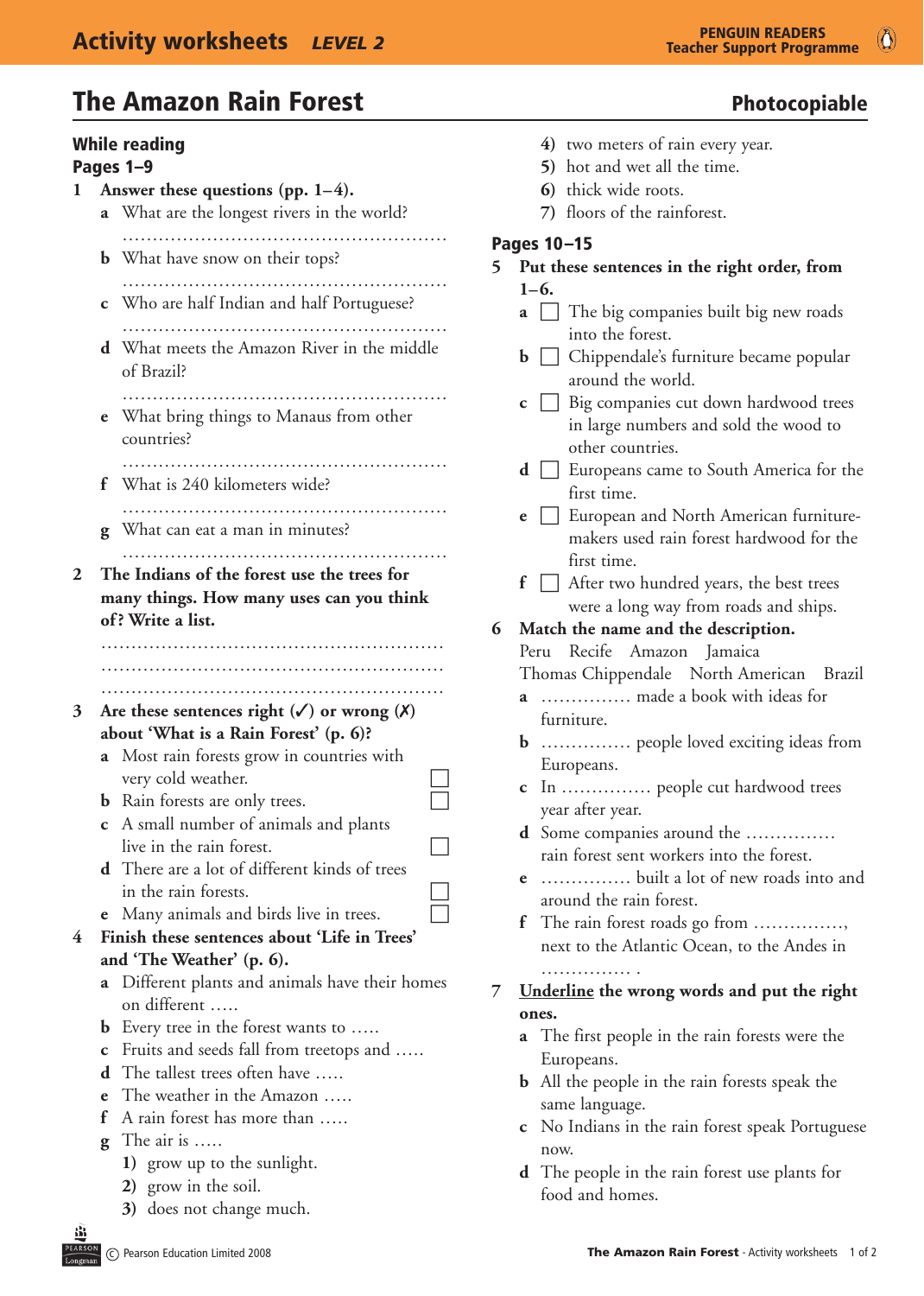# The Amazon Rain Forest **Photocopiable** Photocopiable

|              | <b>While reading</b><br>Pages 1-9                                                                                                       | $4)$ two meters of<br>5) hot and wet a                                          |
|--------------|-----------------------------------------------------------------------------------------------------------------------------------------|---------------------------------------------------------------------------------|
| $\mathbf{I}$ | Answer these questions (pp. $1-4$ ).<br><b>a</b> What are the longest rivers in the world?                                              | 6) thick wide ro<br>7) floors of the 1                                          |
|              | <b>b</b> What have snow on their tops?                                                                                                  | Pages 10-15<br>Put these sentences<br>5 <sup>1</sup>                            |
|              | <b>c</b> Who are half Indian and half Portuguese?                                                                                       | $1 - 6.$<br>The big com<br>$a \mid \cdot$<br>into the fores                     |
|              | <b>d</b> What meets the Amazon River in the middle<br>of Brazil?                                                                        | Chippendale<br>b.<br>around the w<br>$\Box$ Big compani<br>C                    |
|              | <b>e</b> What bring things to Manaus from other<br>countries?                                                                           | in large num<br>other countri                                                   |
|              | What is 240 kilometers wide?<br>f                                                                                                       | Europeans ca<br>$d \mid \cdot$<br>first time.<br>European and                   |
|              | What can eat a man in minutes?<br>g                                                                                                     | e<br>makers used<br>first time.                                                 |
| 2            | The Indians of the forest use the trees for<br>many things. How many uses can you think<br>of? Write a list.                            | After two hu<br>£<br>were a long v<br>6<br>Match the name ar<br>Peru Recife Ama |
| 3            | Are these sentences right $(\checkmark)$ or wrong $(\checkmark)$<br>about 'What is a Rain Forest' (p. 6)?                               | Thomas Chippenda<br><b>a</b> ma<br>furniture.                                   |
|              | a Most rain forests grow in countries with<br>very cold weather.<br>Rain forests are only trees.<br>b                                   | Europeans.                                                                      |
|              | A small number of animals and plants<br>$\mathbf c$<br>live in the rain forest.<br><b>d</b> There are a lot of different kinds of trees | year after year.<br><b>d</b> Some companies<br>rain forest sent w               |
| 4            | in the rain forests.<br>Many animals and birds live in trees.<br>e<br>Finish these sentences about 'Life in Trees'                      | bui<br>$\mathbf{e}$<br>around the rain f<br>The rain forest ro<br>£             |
|              | and 'The Weather' (p. 6).<br>Different plants and animals have their homes<br>a                                                         | next to the Atlan<br>Underline the wron<br>7                                    |
|              | on different<br>Every tree in the forest wants to<br>b<br>Fruits and seeds fall from treetops and<br>С                                  | ones.<br><b>a</b> The first people i                                            |
|              | The tallest trees often have<br>d<br>The weather in the Amazon<br>e<br>A rain forest has more than<br>f                                 | Europeans.<br><b>b</b> All the people in<br>same language.                      |
|              | The air is<br>g<br>1) grow up to the sunlight.                                                                                          | c No Indians in th<br>now.<br><b>d</b> The people in the                        |
| 巡            | 2) grow in the soil.<br>3) does not change much.                                                                                        | food and homes.                                                                 |

- vo meters of rain every year.
- ot and wet all the time.
- **ick** wide roots.
- *<u>Dors</u>* of the rainforest.

### $5$

| 5 |             | Put these sentences in the right order, from                                                                   |
|---|-------------|----------------------------------------------------------------------------------------------------------------|
|   |             | $1 - 6.$                                                                                                       |
|   |             | $\mathbf{a}$ $\Box$ The big companies built big new roads<br>into the forest.                                  |
|   |             | Chippendale's furniture became popular<br>$\mathbf{b}$ $\Box$<br>around the world.                             |
|   |             | Big companies cut down hardwood trees<br>$c \Box$<br>in large numbers and sold the wood to<br>other countries. |
|   |             | $\mathbf{d}$ $\Box$ Europeans came to South America for the<br>first time.                                     |
|   | e           | European and North American furniture-<br>$\Box$<br>makers used rain forest hardwood for the                   |
|   |             | first time.<br>$f \Box$ After two hundred years, the best trees                                                |
|   |             | were a long way from roads and ships.                                                                          |
| 6 |             | Match the name and the description.                                                                            |
|   |             | Recife Amazon Jamaica<br>Peru                                                                                  |
|   |             | Thomas Chippendale North American Brazil                                                                       |
|   | a           | made a book with ideas for<br>furniture.                                                                       |
|   |             | <b>b</b> people loved exciting ideas from<br>Europeans.                                                        |
|   | $\mathbf c$ | In  people cut hardwood trees<br>year after year.                                                              |
|   |             | <b>d</b> Some companies around the<br>rain forest sent workers into the forest.                                |
|   | e           | built a lot of new roads into and<br>around the rain forest.                                                   |
|   |             | f The rain forest roads go from<br>next to the Atlantic Ocean, to the Andes in                                 |
|   |             |                                                                                                                |
| 7 |             | .<br>Underline the wrong words and put the right                                                               |
|   |             | ones.                                                                                                          |
|   | a           | The first people in the rain forests were the<br>Europeans.                                                    |
|   | b           | All the people in the rain forests speak the<br>same language.                                                 |
|   | с           | No Indians in the rain forest speak Portuguese<br>now.                                                         |
|   |             | <b>d</b> The people in the rain forest use plants for                                                          |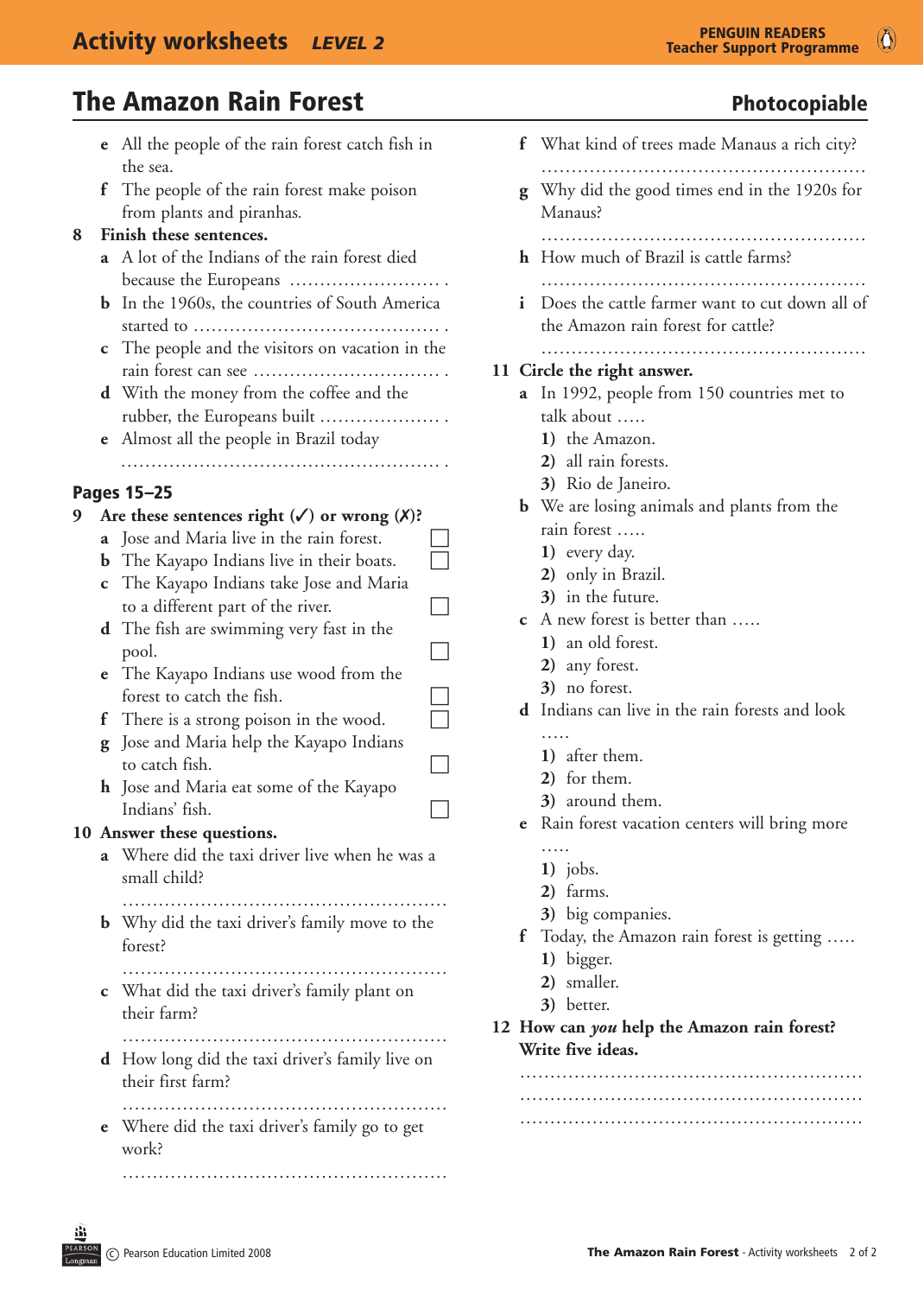|   | e            | All the people of the rain forest catch fish in  |  |
|---|--------------|--------------------------------------------------|--|
|   |              | the sea.                                         |  |
|   | $\mathbf{f}$ | The people of the rain forest make poison        |  |
|   |              | from plants and piranhas.                        |  |
| 8 |              | Finish these sentences.                          |  |
|   |              | A lot of the Indians of the rain forest died     |  |
|   |              | because the Europeans                            |  |
|   | b            | In the 1960s, the countries of South America     |  |
|   |              |                                                  |  |
|   | $\mathbf{c}$ | The people and the visitors on vacation in the   |  |
|   |              |                                                  |  |
|   |              | d With the money from the coffee and the         |  |
|   |              | rubber, the Europeans built<br>.                 |  |
|   | e            | Almost all the people in Brazil today            |  |
|   |              |                                                  |  |
|   |              |                                                  |  |
|   |              | <b>Pages 15-25</b>                               |  |
| 9 |              | Are these sentences right $(V)$ or wrong $(X)$ ? |  |
|   | a            | Jose and Maria live in the rain forest.          |  |
|   | b            | The Kayapo Indians live in their boats.          |  |
|   | $\mathbf{c}$ | The Kayapo Indians take Jose and Maria           |  |
|   |              | to a different part of the river.                |  |
|   |              | d The fish are swimming very fast in the         |  |
|   |              | pool.                                            |  |
|   | e            | The Kayapo Indians use wood from the             |  |
|   |              | forest to catch the fish.                        |  |
|   | f            | There is a strong poison in the wood.            |  |
|   | g            | Jose and Maria help the Kayapo Indians           |  |
|   |              | to catch fish.                                   |  |
|   |              | <b>h</b> Jose and Maria eat some of the Kayapo   |  |
|   |              | Indians' fish.                                   |  |
|   |              | 10 Answer these questions.                       |  |
|   |              | a Where did the taxi driver live when he was a   |  |
|   |              | small child?                                     |  |

small child? ………………………………………………

**b** Why did the taxi driver's family move to the forest?

 ………………………………………………  **c** What did the taxi driver's family plant on their farm?

 ……………………………………………… **d** How long did the taxi driver's family live on their first farm?

 ……………………………………………… **e** Where did the taxi driver's family go to get work?

 ………………………………………………

|  | <b>Teacher Support Programme</b> |
|--|----------------------------------|
|  |                                  |

 $\bullet$ 

|   | f What kind of trees made Manaus a rich city?                                        |
|---|--------------------------------------------------------------------------------------|
| g | Why did the good times end in the 1920s for<br>Manaus?                               |
|   | h How much of Brazil is cattle farms?                                                |
| i | Does the cattle farmer want to cut down all of<br>the Amazon rain forest for cattle? |
|   |                                                                                      |
|   | 11 Circle the right answer.                                                          |
| a | In 1992, people from 150 countries met to                                            |
|   | talk about                                                                           |
|   | 1) the Amazon.                                                                       |
|   | 2) all rain forests.                                                                 |
|   | 3) Rio de Janeiro.                                                                   |
|   | <b>b</b> We are losing animals and plants from the<br>rain forest                    |
|   | 1) every day.                                                                        |
|   | 2) only in Brazil.                                                                   |
|   | 3) in the future.                                                                    |
|   | c A new forest is better than                                                        |
|   | 1) an old forest.                                                                    |
|   | 2) any forest.                                                                       |
|   | 3) no forest.                                                                        |
|   | <b>d</b> Indians can live in the rain forests and look                               |
|   |                                                                                      |
|   | 1) after them.                                                                       |
|   | 2) for them.                                                                         |
|   | 3) around them.                                                                      |
| e | Rain forest vacation centers will bring more                                         |
|   |                                                                                      |
|   | $1)$ jobs.                                                                           |
|   | 2) farms.                                                                            |
|   | 3) big companies.                                                                    |
|   | f Today, the Amazon rain forest is getting                                           |
|   | 1) bigger.                                                                           |
|   | 2) smaller.                                                                          |
|   | 3) better.                                                                           |
|   | 12 How can you help the Amazon rain forest?                                          |
|   | Write five ideas.                                                                    |
|   |                                                                                      |
|   |                                                                                      |

 …………………………………………………